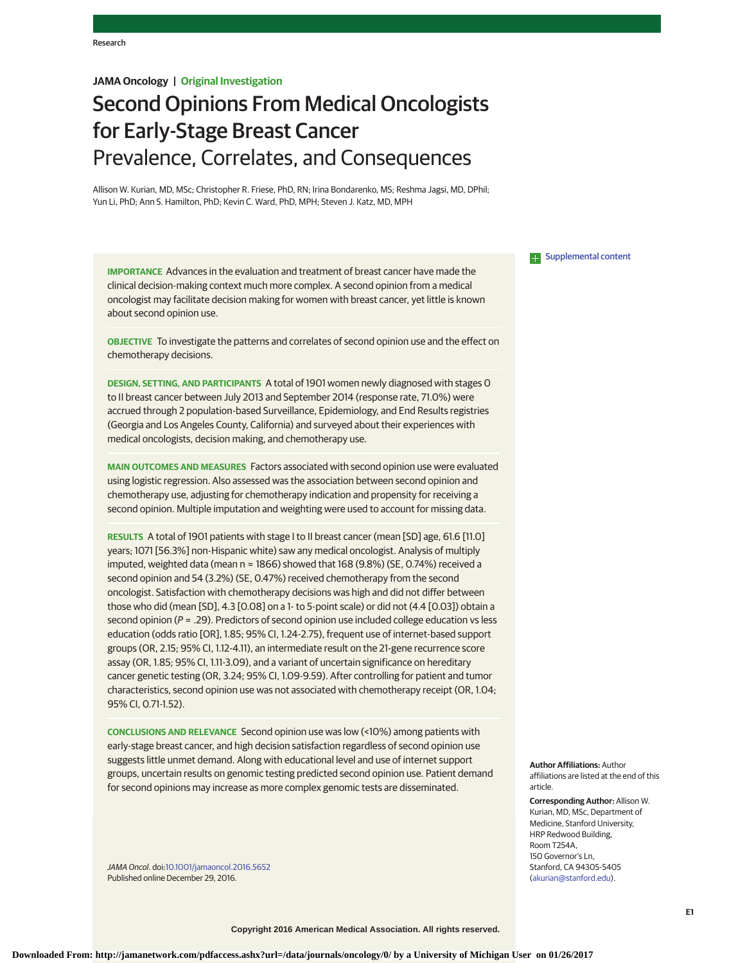# **JAMA Oncology | Original Investigation**

# Second Opinions From Medical Oncologists for Early-Stage Breast Cancer Prevalence, Correlates, and Consequences

Allison W. Kurian, MD, MSc; Christopher R. Friese, PhD, RN; Irina Bondarenko, MS; Reshma Jagsi, MD, DPhil; Yun Li, PhD; Ann S. Hamilton, PhD; Kevin C. Ward, PhD, MPH; Steven J. Katz, MD, MPH

**IMPORTANCE** Advances in the evaluation and treatment of breast cancer have made the clinical decision-making context much more complex. A second opinion from a medical oncologist may facilitate decision making for women with breast cancer, yet little is known about second opinion use.

**OBJECTIVE** To investigate the patterns and correlates of second opinion use and the effect on chemotherapy decisions.

**DESIGN, SETTING, AND PARTICIPANTS** A total of 1901 women newly diagnosed with stages 0 to II breast cancer between July 2013 and September 2014 (response rate, 71.0%) were accrued through 2 population-based Surveillance, Epidemiology, and End Results registries (Georgia and Los Angeles County, California) and surveyed about their experiences with medical oncologists, decision making, and chemotherapy use.

**MAIN OUTCOMES AND MEASURES** Factors associated with second opinion use were evaluated using logistic regression. Also assessed was the association between second opinion and chemotherapy use, adjusting for chemotherapy indication and propensity for receiving a second opinion. Multiple imputation and weighting were used to account for missing data.

**RESULTS** A total of 1901 patients with stage I to II breast cancer (mean [SD] age, 61.6 [11.0] years; 1071 [56.3%] non-Hispanic white) saw any medical oncologist. Analysis of multiply imputed, weighted data (mean n = 1866) showed that 168 (9.8%) (SE, 0.74%) received a second opinion and 54 (3.2%) (SE, 0.47%) received chemotherapy from the second oncologist. Satisfaction with chemotherapy decisions was high and did not differ between those who did (mean [SD], 4.3 [0.08] on a 1- to 5-point scale) or did not (4.4 [0.03]) obtain a second opinion ( $P = .29$ ). Predictors of second opinion use included college education vs less education (odds ratio [OR], 1.85; 95% CI, 1.24-2.75), frequent use of internet-based support groups (OR, 2.15; 95% CI, 1.12-4.11), an intermediate result on the 21-gene recurrence score assay (OR, 1.85; 95% CI, 1.11-3.09), and a variant of uncertain significance on hereditary cancer genetic testing (OR, 3.24; 95% CI, 1.09-9.59). After controlling for patient and tumor characteristics, second opinion use was not associated with chemotherapy receipt (OR, 1.04; 95% CI, 0.71-1.52).

**CONCLUSIONS AND RELEVANCE** Second opinion use was low (<10%) among patients with early-stage breast cancer, and high decision satisfaction regardless of second opinion use suggests little unmet demand. Along with educational level and use of internet support groups, uncertain results on genomic testing predicted second opinion use. Patient demand for second opinions may increase as more complex genomic tests are disseminated.

JAMA Oncol. doi[:10.1001/jamaoncol.2016.5652](http://jama.jamanetwork.com/article.aspx?doi=10.1001/jamaoncol.2016.5652&utm_campaign=articlePDF%26utm_medium=articlePDFlink%26utm_source=articlePDF%26utm_content=jamaoncol.2016.5652) Published online December 29, 2016.

**Examplemental content** 

**Author Affiliations:** Author affiliations are listed at the end of this article.

**Corresponding Author:** Allison W. Kurian, MD, MSc, Department of Medicine, Stanford University, HRP Redwood Building, Room T254A, 150 Governor's Ln, Stanford, CA 94305-5405 [\(akurian@stanford.edu\)](mailto:akurian@stanford.edu).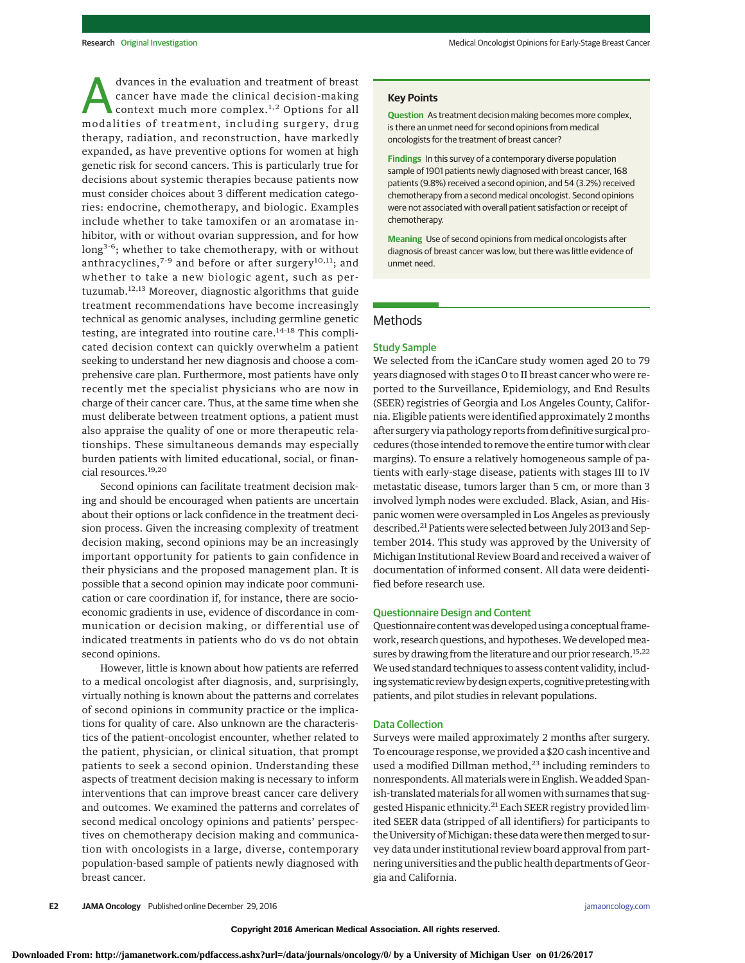dvances in the evaluation and treatment of breast<br>cancer have made the clinical decision-making<br>context much more complex.<sup>1,2</sup> Options for all<br>modelities of treatment, including surgery, drug cancer have made the clinical decision-making modalities of treatment, including surgery, drug therapy, radiation, and reconstruction, have markedly expanded, as have preventive options for women at high genetic risk for second cancers. This is particularly true for decisions about systemic therapies because patients now must consider choices about 3 different medication categories: endocrine, chemotherapy, and biologic. Examples include whether to take tamoxifen or an aromatase inhibitor, with or without ovarian suppression, and for how long<sup>3-6</sup>; whether to take chemotherapy, with or without anthracyclines, $7-9$  and before or after surgery $10,11$ ; and whether to take a new biologic agent, such as pertuzumab.<sup>12,13</sup> Moreover, diagnostic algorithms that guide treatment recommendations have become increasingly technical as genomic analyses, including germline genetic testing, are integrated into routine care.<sup>14-18</sup> This complicated decision context can quickly overwhelm a patient seeking to understand her new diagnosis and choose a comprehensive care plan. Furthermore, most patients have only recently met the specialist physicians who are now in charge of their cancer care. Thus, at the same time when she must deliberate between treatment options, a patient must also appraise the quality of one or more therapeutic relationships. These simultaneous demands may especially burden patients with limited educational, social, or financial resources.19,20

Second opinions can facilitate treatment decision making and should be encouraged when patients are uncertain about their options or lack confidence in the treatment decision process. Given the increasing complexity of treatment decision making, second opinions may be an increasingly important opportunity for patients to gain confidence in their physicians and the proposed management plan. It is possible that a second opinion may indicate poor communication or care coordination if, for instance, there are socioeconomic gradients in use, evidence of discordance in communication or decision making, or differential use of indicated treatments in patients who do vs do not obtain second opinions.

However, little is known about how patients are referred to a medical oncologist after diagnosis, and, surprisingly, virtually nothing is known about the patterns and correlates of second opinions in community practice or the implications for quality of care. Also unknown are the characteristics of the patient-oncologist encounter, whether related to the patient, physician, or clinical situation, that prompt patients to seek a second opinion. Understanding these aspects of treatment decision making is necessary to inform interventions that can improve breast cancer care delivery and outcomes. We examined the patterns and correlates of second medical oncology opinions and patients' perspectives on chemotherapy decision making and communication with oncologists in a large, diverse, contemporary population-based sample of patients newly diagnosed with breast cancer.

## **Key Points**

**Question** As treatment decision making becomes more complex, is there an unmet need for second opinions from medical oncologists for the treatment of breast cancer?

**Findings** In this survey of a contemporary diverse population sample of 1901 patients newly diagnosed with breast cancer, 168 patients (9.8%) received a second opinion, and 54 (3.2%) received chemotherapy from a second medical oncologist. Second opinions were not associated with overall patient satisfaction or receipt of chemotherapy.

**Meaning** Use of second opinions from medical oncologists after diagnosis of breast cancer was low, but there was little evidence of unmet need.

# Methods

## Study Sample

We selected from the iCanCare study women aged 20 to 79 years diagnosed with stages 0 to II breast cancer who were reported to the Surveillance, Epidemiology, and End Results (SEER) registries of Georgia and Los Angeles County, California. Eligible patients were identified approximately 2 months after surgery via pathology reports from definitive surgical procedures (those intended to remove the entire tumor with clear margins). To ensure a relatively homogeneous sample of patients with early-stage disease, patients with stages III to IV metastatic disease, tumors larger than 5 cm, or more than 3 involved lymph nodes were excluded. Black, Asian, and Hispanic women were oversampled in Los Angeles as previously described.<sup>21</sup> Patients were selected between July 2013 and September 2014. This study was approved by the University of Michigan Institutional Review Board and received a waiver of documentation of informed consent. All data were deidentified before research use.

## Questionnaire Design and Content

Questionnaire contentwas developed using a conceptual framework, research questions, and hypotheses. We developed measures by drawing from the literature and our prior research.<sup>15,22</sup> We used standard techniques to assess content validity, including systematic review by design experts, cognitive pretesting with patients, and pilot studies in relevant populations.

#### Data Collection

Surveys were mailed approximately 2 months after surgery. To encourage response, we provided a \$20 cash incentive and used a modified Dillman method, $^{23}$  including reminders to nonrespondents. Allmaterials were in English.We added Spanish-translated materials for all women with surnames that suggested Hispanic ethnicity.<sup>21</sup> Each SEER registry provided limited SEER data (stripped of all identifiers) for participants to the University of Michigan: these data were then merged to survey data under institutional review board approval from partnering universities and the public health departments of Georgia and California.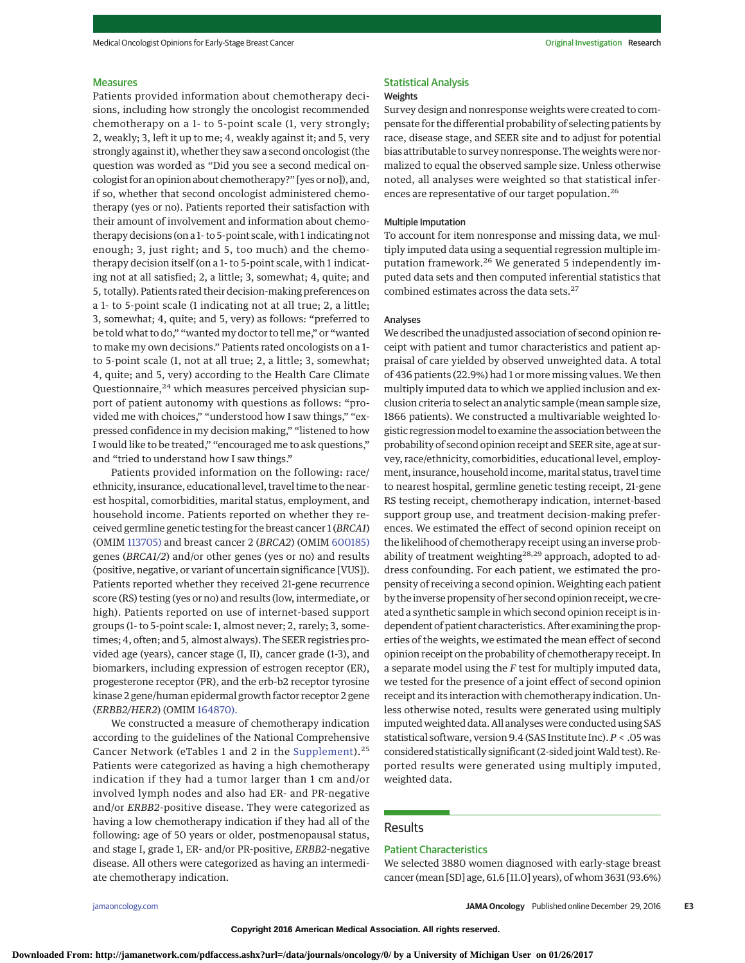#### Measures

Patients provided information about chemotherapy decisions, including how strongly the oncologist recommended chemotherapy on a 1- to 5-point scale (1, very strongly; 2, weakly; 3, left it up to me; 4, weakly against it; and 5, very strongly against it), whether they saw a second oncologist (the question was worded as "Did you see a second medical oncologist for an opinion about chemotherapy?" [yes or no]), and, if so, whether that second oncologist administered chemotherapy (yes or no). Patients reported their satisfaction with their amount of involvement and information about chemotherapy decisions (on a 1- to 5-point scale, with 1 indicating not enough; 3, just right; and 5, too much) and the chemotherapy decision itself (on a 1- to 5-point scale, with 1 indicating not at all satisfied; 2, a little; 3, somewhat; 4, quite; and 5, totally). Patients rated their decision-making preferences on a 1- to 5-point scale (1 indicating not at all true; 2, a little; 3, somewhat; 4, quite; and 5, very) as follows: "preferred to be told what to do," "wanted my doctor to tell me," or "wanted to make my own decisions." Patients rated oncologists on a 1 to 5-point scale (1, not at all true; 2, a little; 3, somewhat; 4, quite; and 5, very) according to the Health Care Climate Questionnaire, $24$  which measures perceived physician support of patient autonomy with questions as follows: "provided me with choices," "understood how I saw things," "expressed confidence in my decision making," "listened to how I would like to be treated," "encouraged me to ask questions," and "tried to understand how I saw things."

Patients provided information on the following: race/ ethnicity, insurance, educational level, travel time to the nearest hospital, comorbidities, marital status, employment, and household income. Patients reported on whether they received germline genetic testing for the breast cancer 1 (*BRCA1*) (OMIM [113705\)](http://omim.org/entry/113705) and breast cancer 2 (*BRCA2*) (OMIM [600185\)](http://omim.org/entry/600185) genes (*BRCA1/2*) and/or other genes (yes or no) and results (positive, negative, or variant of uncertain significance [VUS]). Patients reported whether they received 21-gene recurrence score (RS) testing (yes or no) and results (low, intermediate, or high). Patients reported on use of internet-based support groups (1- to 5-point scale: 1, almost never; 2, rarely; 3, sometimes; 4, often; and 5, almost always). The SEER registries provided age (years), cancer stage (I, II), cancer grade (1-3), and biomarkers, including expression of estrogen receptor (ER), progesterone receptor (PR), and the erb-b2 receptor tyrosine kinase 2 gene/human epidermal growth factor receptor 2 gene (*ERBB2/HER2*) (OMIM [164870\).](http://omim.org/entry/164870)

We constructed a measure of chemotherapy indication according to the guidelines of the National Comprehensive Cancer Network (eTables 1 and 2 in the [Supplement\)](http://jama.jamanetwork.com/article.aspx?doi=10.1001/jamaoncol.2016.5652&utm_campaign=articlePDF%26utm_medium=articlePDFlink%26utm_source=articlePDF%26utm_content=jamaoncol.2016.5652).<sup>25</sup> Patients were categorized as having a high chemotherapy indication if they had a tumor larger than 1 cm and/or involved lymph nodes and also had ER- and PR-negative and/or *ERBB2*-positive disease. They were categorized as having a low chemotherapy indication if they had all of the following: age of 50 years or older, postmenopausal status, and stage I, grade 1, ER- and/or PR-positive, *ERBB2*-negative disease. All others were categorized as having an intermediate chemotherapy indication.

## Statistical Analysis

#### Weights

Survey design and nonresponse weights were created to compensate for the differential probability of selecting patients by race, disease stage, and SEER site and to adjust for potential bias attributable to survey nonresponse. The weights were normalized to equal the observed sample size. Unless otherwise noted, all analyses were weighted so that statistical inferences are representative of our target population.26

## Multiple Imputation

To account for item nonresponse and missing data, we multiply imputed data using a sequential regression multiple imputation framework.<sup>26</sup> We generated 5 independently imputed data sets and then computed inferential statistics that combined estimates across the data sets.<sup>27</sup>

# Analyses

We described the unadjusted association of second opinion receipt with patient and tumor characteristics and patient appraisal of care yielded by observed unweighted data. A total of 436 patients (22.9%) had 1 or more missing values. We then multiply imputed data to which we applied inclusion and exclusion criteria to select an analytic sample (mean sample size, 1866 patients). We constructed a multivariable weighted logistic regressionmodel to examine the association between the probability of second opinion receipt and SEER site, age at survey, race/ethnicity, comorbidities, educational level, employment, insurance, household income, marital status, travel time to nearest hospital, germline genetic testing receipt, 21-gene RS testing receipt, chemotherapy indication, internet-based support group use, and treatment decision-making preferences. We estimated the effect of second opinion receipt on the likelihood of chemotherapy receipt using an inverse probability of treatment weighting<sup>28,29</sup> approach, adopted to address confounding. For each patient, we estimated the propensity of receiving a second opinion. Weighting each patient by the inverse propensity of her second opinion receipt, we created a synthetic sample in which second opinion receipt is independent of patient characteristics. After examining the properties of the weights, we estimated the mean effect of second opinion receipt on the probability of chemotherapy receipt. In a separate model using the *F* test for multiply imputed data, we tested for the presence of a joint effect of second opinion receipt and its interaction with chemotherapy indication. Unless otherwise noted, results were generated using multiply imputed weighted data. All analyses were conducted using SAS statistical software, version 9.4 (SAS Institute Inc). *P* < .05 was considered statistically significant (2-sided joint Wald test). Reported results were generated using multiply imputed, weighted data.

# **Results**

# Patient Characteristics

We selected 3880 women diagnosed with early-stage breast cancer (mean [SD] age, 61.6 [11.0] years), of whom 3631 (93.6%)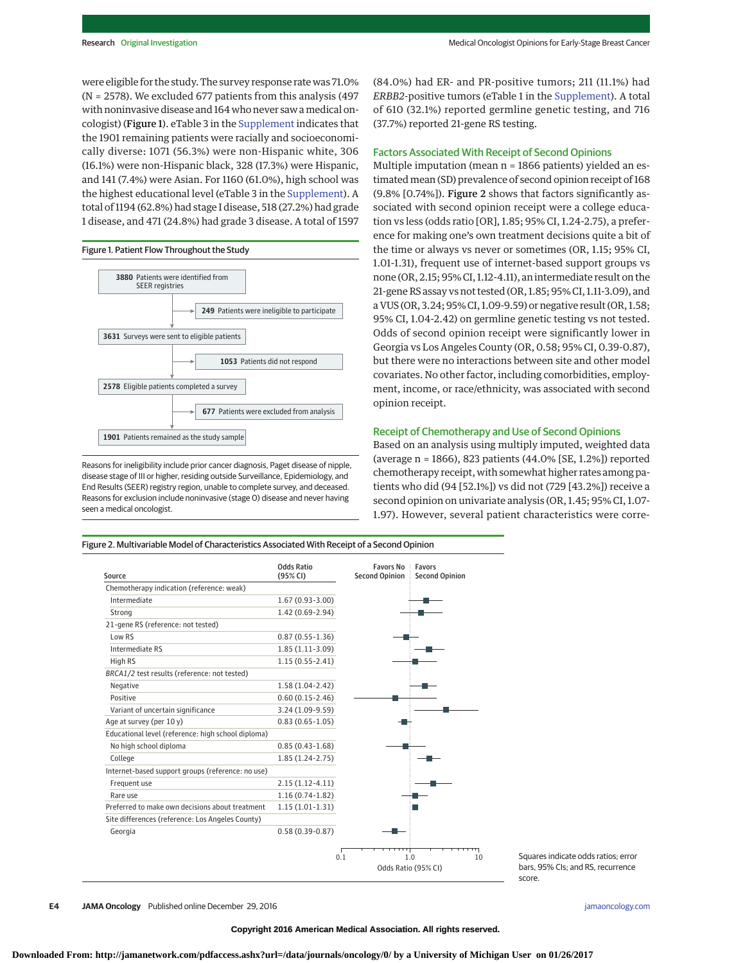were eligible for the study. The survey response rate was 71.0% (N = 2578). We excluded 677 patients from this analysis (497 with noninvasive disease and 164 who never saw amedical oncologist) (Figure 1). eTable 3 in the [Supplement](http://jama.jamanetwork.com/article.aspx?doi=10.1001/jamaoncol.2016.5652&utm_campaign=articlePDF%26utm_medium=articlePDFlink%26utm_source=articlePDF%26utm_content=jamaoncol.2016.5652) indicates that the 1901 remaining patients were racially and socioeconomically diverse: 1071 (56.3%) were non-Hispanic white, 306 (16.1%) were non-Hispanic black, 328 (17.3%) were Hispanic, and 141 (7.4%) were Asian. For 1160 (61.0%), high school was the highest educational level (eTable 3 in the [Supplement\)](http://jama.jamanetwork.com/article.aspx?doi=10.1001/jamaoncol.2016.5652&utm_campaign=articlePDF%26utm_medium=articlePDFlink%26utm_source=articlePDF%26utm_content=jamaoncol.2016.5652). A total of 1194 (62.8%) had stage I disease, 518 (27.2%) had grade 1 disease, and 471 (24.8%) had grade 3 disease. A total of 1597

#### Figure 1. Patient Flow Throughout the Study



Reasons for ineligibility include prior cancer diagnosis, Paget disease of nipple, disease stage of III or higher, residing outside Surveillance, Epidemiology, and End Results (SEER) registry region, unable to complete survey, and deceased. Reasons for exclusion include noninvasive (stage 0) disease and never having seen a medical oncologist.

Figure 2. Multivariable Model of Characteristics Associated With Receipt of a Second Opinion

(84.0%) had ER- and PR-positive tumors; 211 (11.1%) had *ERBB2*-positive tumors (eTable 1 in the [Supplement\)](http://jama.jamanetwork.com/article.aspx?doi=10.1001/jamaoncol.2016.5652&utm_campaign=articlePDF%26utm_medium=articlePDFlink%26utm_source=articlePDF%26utm_content=jamaoncol.2016.5652). A total of 610 (32.1%) reported germline genetic testing, and 716 (37.7%) reported 21-gene RS testing.

# Factors Associated With Receipt of Second Opinions

Multiple imputation (mean n = 1866 patients) yielded an estimated mean (SD) prevalence of second opinion receipt of 168 (9.8% [0.74%]). Figure 2 shows that factors significantly associated with second opinion receipt were a college education vs less (odds ratio [OR], 1.85; 95% CI, 1.24-2.75), a preference for making one's own treatment decisions quite a bit of the time or always vs never or sometimes (OR, 1.15; 95% CI, 1.01-1.31), frequent use of internet-based support groups vs none (OR, 2.15; 95% CI, 1.12-4.11), an intermediate result on the 21-gene RS assay vs not tested (OR, 1.85; 95% CI, 1.11-3.09), and a VUS (OR, 3.24; 95% CI, 1.09-9.59) or negative result (OR, 1.58; 95% CI, 1.04-2.42) on germline genetic testing vs not tested. Odds of second opinion receipt were significantly lower in Georgia vs Los Angeles County (OR, 0.58; 95% CI, 0.39-0.87), but there were no interactions between site and other model covariates. No other factor, including comorbidities, employment, income, or race/ethnicity, was associated with second opinion receipt.

## Receipt of Chemotherapy and Use of Second Opinions

Based on an analysis using multiply imputed, weighted data (average n = 1866), 823 patients (44.0% [SE, 1.2%]) reported chemotherapy receipt, with somewhat higher rates among patients who did (94 [52.1%]) vs did not (729 [43.2%]) receive a second opinion on univariate analysis (OR, 1.45; 95% CI, 1.07- 1.97). However, several patient characteristics were corre-

| Source                                             | <b>Odds Ratio</b><br>(95% CI) | <b>Favors No</b><br><b>Second Opinion</b> | Favors<br><b>Second Opinion</b> |
|----------------------------------------------------|-------------------------------|-------------------------------------------|---------------------------------|
| Chemotherapy indication (reference: weak)          |                               |                                           |                                 |
| Intermediate                                       | $1.67(0.93 - 3.00)$           |                                           |                                 |
| Strong                                             | 1.42 (0.69-2.94)              |                                           |                                 |
| 21-gene RS (reference: not tested)                 |                               |                                           |                                 |
| Low RS                                             | $0.87(0.55 - 1.36)$           |                                           |                                 |
| Intermediate RS                                    | $1.85(1.11-3.09)$             |                                           |                                 |
| High RS                                            | $1.15(0.55 - 2.41)$           |                                           |                                 |
| BRCA1/2 test results (reference: not tested)       |                               |                                           |                                 |
| Negative                                           | 1.58 (1.04-2.42)              |                                           |                                 |
| Positive                                           | $0.60(0.15 - 2.46)$           |                                           |                                 |
| Variant of uncertain significance                  | 3.24 (1.09-9.59)              |                                           |                                 |
| Age at survey (per 10 y)                           | $0.83(0.65 - 1.05)$           |                                           |                                 |
| Educational level (reference: high school diploma) |                               |                                           |                                 |
| No high school diploma                             | $0.85(0.43 - 1.68)$           |                                           |                                 |
| College                                            | $1.85(1.24-2.75)$             |                                           |                                 |
| Internet-based support groups (reference: no use)  |                               |                                           |                                 |
| Frequent use                                       | $2.15(1.12-4.11)$             |                                           |                                 |
| Rare use                                           | $1.16(0.74-1.82)$             |                                           |                                 |
| Preferred to make own decisions about treatment    | $1.15(1.01-1.31)$             |                                           |                                 |
| Site differences (reference: Los Angeles County)   |                               |                                           |                                 |
| Georgia                                            | $0.58(0.39 - 0.87)$           |                                           |                                 |
|                                                    |                               |                                           |                                 |
|                                                    |                               | 0.1<br>Odds Ratio (95% CI)                | 1.0                             |

Squares indicate odds ratios; error bars, 95% CIs; and RS, recurrence score.

**E4 JAMA Oncology** Published online December 29, 2016 **(Reprinted)** [jamaoncology.com](http://www.jamaoncology.com/?utm_campaign=articlePDF%26utm_medium=articlePDFlink%26utm_source=articlePDF%26utm_content=jamaoncol.2016.5652)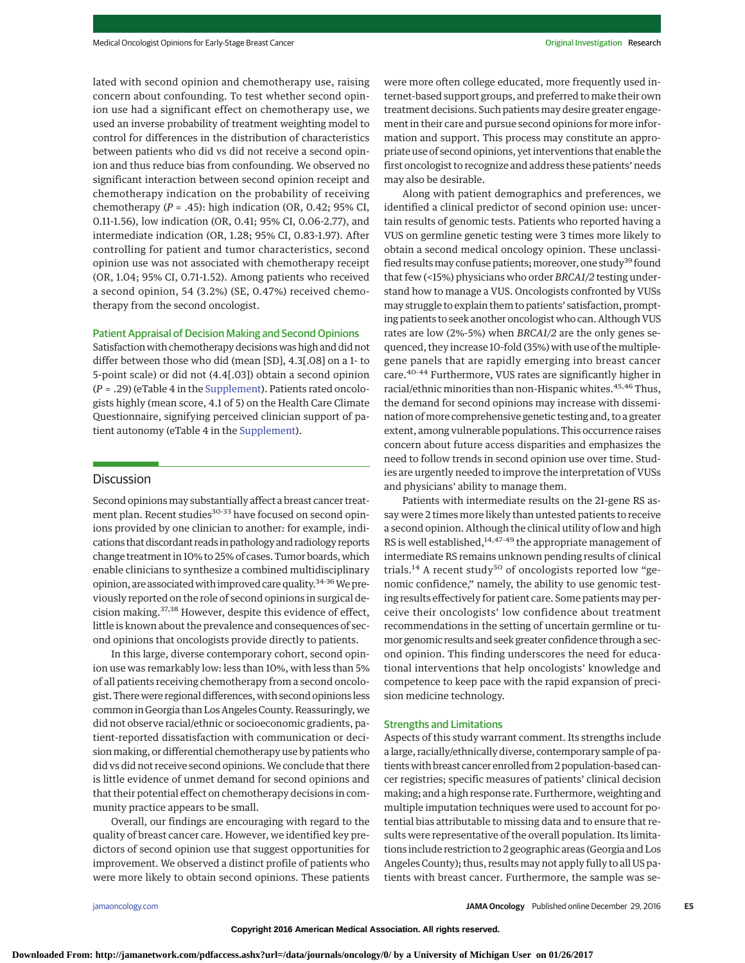lated with second opinion and chemotherapy use, raising concern about confounding. To test whether second opinion use had a significant effect on chemotherapy use, we used an inverse probability of treatment weighting model to control for differences in the distribution of characteristics between patients who did vs did not receive a second opinion and thus reduce bias from confounding. We observed no significant interaction between second opinion receipt and chemotherapy indication on the probability of receiving chemotherapy (*P* = .45): high indication (OR, 0.42; 95% CI, 0.11-1.56), low indication (OR, 0.41; 95% CI, 0.06-2.77), and intermediate indication (OR, 1.28; 95% CI, 0.83-1.97). After controlling for patient and tumor characteristics, second opinion use was not associated with chemotherapy receipt (OR, 1.04; 95% CI, 0.71-1.52). Among patients who received a second opinion, 54 (3.2%) (SE, 0.47%) received chemotherapy from the second oncologist.

# Patient Appraisal of Decision Making and Second Opinions

Satisfaction with chemotherapy decisions was high and did not differ between those who did (mean [SD], 4.3[.08] on a 1- to 5-point scale) or did not (4.4[.03]) obtain a second opinion (*P* = .29) (eTable 4 in the [Supplement\)](http://jama.jamanetwork.com/article.aspx?doi=10.1001/jamaoncol.2016.5652&utm_campaign=articlePDF%26utm_medium=articlePDFlink%26utm_source=articlePDF%26utm_content=jamaoncol.2016.5652). Patients rated oncologists highly (mean score, 4.1 of 5) on the Health Care Climate Questionnaire, signifying perceived clinician support of patient autonomy (eTable 4 in the [Supplement\)](http://jama.jamanetwork.com/article.aspx?doi=10.1001/jamaoncol.2016.5652&utm_campaign=articlePDF%26utm_medium=articlePDFlink%26utm_source=articlePDF%26utm_content=jamaoncol.2016.5652).

# **Discussion**

Second opinions may substantially affect a breast cancer treatment plan. Recent studies<sup>30-33</sup> have focused on second opinions provided by one clinician to another: for example, indications that discordant reads in pathology and radiology reports change treatment in 10% to 25% of cases. Tumor boards, which enable clinicians to synthesize a combined multidisciplinary opinion, are associated with improved care quality.<sup>34-36</sup> We previously reported on the role of second opinions in surgical decision making.37,38 However, despite this evidence of effect, little is known about the prevalence and consequences of second opinions that oncologists provide directly to patients.

In this large, diverse contemporary cohort, second opinion use was remarkably low: less than 10%, with less than 5% of all patients receiving chemotherapy from a second oncologist. There were regional differences, with second opinions less common in Georgia than Los Angeles County. Reassuringly, we did not observe racial/ethnic or socioeconomic gradients, patient-reported dissatisfaction with communication or decision making, or differential chemotherapy use by patients who did vs did not receive second opinions.We conclude that there is little evidence of unmet demand for second opinions and that their potential effect on chemotherapy decisions in community practice appears to be small.

Overall, our findings are encouraging with regard to the quality of breast cancer care. However, we identified key predictors of second opinion use that suggest opportunities for improvement. We observed a distinct profile of patients who were more likely to obtain second opinions. These patients

were more often college educated, more frequently used internet-based support groups, and preferred to make their own treatment decisions. Such patients may desire greater engagement in their care and pursue second opinions for more information and support. This process may constitute an appropriate use of second opinions, yet interventions that enable the first oncologist to recognize and address these patients' needs may also be desirable.

Along with patient demographics and preferences, we identified a clinical predictor of second opinion use: uncertain results of genomic tests. Patients who reported having a VUS on germline genetic testing were 3 times more likely to obtain a second medical oncology opinion. These unclassified results may confuse patients; moreover, one study<sup>39</sup> found that few (<15%) physicians who order *BRCA1/2* testing understand how to manage a VUS. Oncologists confronted by VUSs may struggle to explain them to patients' satisfaction, prompting patients to seek another oncologist who can. Although VUS rates are low (2%-5%) when *BRCA1/2* are the only genes sequenced, they increase 10-fold (35%) with use of the multiplegene panels that are rapidly emerging into breast cancer care.40-44 Furthermore, VUS rates are significantly higher in racial/ethnic minorities than non-Hispanic whites.<sup>45,46</sup> Thus, the demand for second opinions may increase with dissemination ofmore comprehensive genetic testing and, to a greater extent, among vulnerable populations. This occurrence raises concern about future access disparities and emphasizes the need to follow trends in second opinion use over time. Studies are urgently needed to improve the interpretation of VUSs and physicians' ability to manage them.

Patients with intermediate results on the 21-gene RS assay were 2 times more likely than untested patients to receive a second opinion. Although the clinical utility of low and high RS is well established,<sup>14,47-49</sup> the appropriate management of intermediate RS remains unknown pending results of clinical trials.<sup>14</sup> A recent study<sup>50</sup> of oncologists reported low "genomic confidence," namely, the ability to use genomic testing results effectively for patient care. Some patients may perceive their oncologists' low confidence about treatment recommendations in the setting of uncertain germline or tumor genomic results and seek greater confidence through a second opinion. This finding underscores the need for educational interventions that help oncologists' knowledge and competence to keep pace with the rapid expansion of precision medicine technology.

#### Strengths and Limitations

Aspects of this study warrant comment. Its strengths include a large, racially/ethnically diverse, contemporary sample of patientswith breast cancer enrolled from 2 population-based cancer registries; specific measures of patients' clinical decision making; and a high response rate. Furthermore, weighting and multiple imputation techniques were used to account for potential bias attributable to missing data and to ensure that results were representative of the overall population. Its limitations include restriction to 2 geographic areas (Georgia and Los Angeles County); thus, results may not apply fully to all US patients with breast cancer. Furthermore, the sample was se-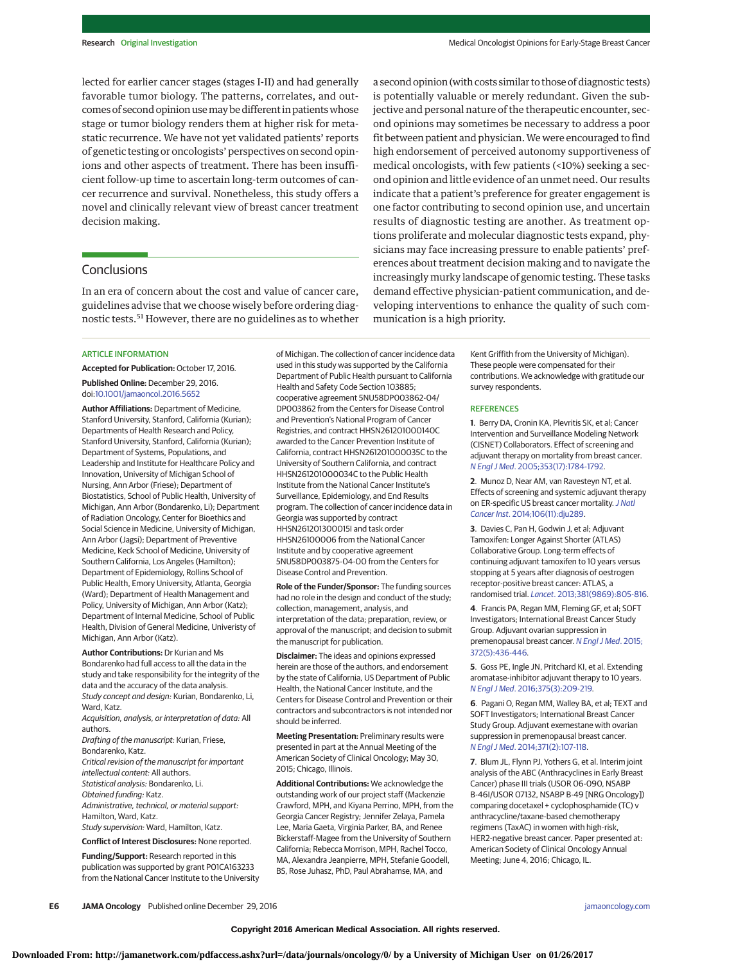lected for earlier cancer stages (stages I-II) and had generally favorable tumor biology. The patterns, correlates, and outcomes of second opinion usemay be different in patientswhose stage or tumor biology renders them at higher risk for metastatic recurrence. We have not yet validated patients' reports of genetic testing or oncologists' perspectives on second opinions and other aspects of treatment. There has been insufficient follow-up time to ascertain long-term outcomes of cancer recurrence and survival. Nonetheless, this study offers a novel and clinically relevant view of breast cancer treatment decision making.

# **Conclusions**

In an era of concern about the cost and value of cancer care, guidelines advise that we choose wisely before ordering diagnostic tests.<sup>51</sup> However, there are no guidelines as to whether

#### ARTICLE INFORMATION

**Accepted for Publication:** October 17, 2016. **Published Online:** December 29, 2016. doi[:10.1001/jamaoncol.2016.5652](http://jama.jamanetwork.com/article.aspx?doi=10.1001/jamaoncol.2016.5652&utm_campaign=articlePDF%26utm_medium=articlePDFlink%26utm_source=articlePDF%26utm_content=jamaoncol.2016.5652)

**Author Affiliations:** Department of Medicine, Stanford University, Stanford, California (Kurian); Departments of Health Research and Policy, Stanford University, Stanford, California (Kurian); Department of Systems, Populations, and Leadership and Institute for Healthcare Policy and Innovation, University of Michigan School of Nursing, Ann Arbor (Friese); Department of Biostatistics, School of Public Health, University of Michigan, Ann Arbor (Bondarenko, Li); Department of Radiation Oncology, Center for Bioethics and Social Science in Medicine, University of Michigan, Ann Arbor (Jagsi); Department of Preventive Medicine, Keck School of Medicine, University of Southern California, Los Angeles (Hamilton); Department of Epidemiology, Rollins School of Public Health, Emory University, Atlanta, Georgia (Ward); Department of Health Management and Policy, University of Michigan, Ann Arbor (Katz); Department of Internal Medicine, School of Public Health, Division of General Medicine, Univeristy of Michigan, Ann Arbor (Katz).

**Author Contributions:** Dr Kurian and Ms Bondarenko had full access to all the data in the study and take responsibility for the integrity of the data and the accuracy of the data analysis. Study concept and design: Kurian, Bondarenko, Li, Ward, Katz.

Acquisition, analysis, or interpretation of data: All authors.

Drafting of the manuscript: Kurian, Friese, Bondarenko, Katz. Critical revision of the manuscript for important intellectual content: All authors. Statistical analysis: Bondarenko, Li.

Obtained funding: Katz. Administrative, technical, or material support:

Hamilton, Ward, Katz. Study supervision: Ward, Hamilton, Katz.

**Conflict of Interest Disclosures:** None reported.

**Funding/Support:** Research reported in this publication was supported by grant P01CA163233 from the National Cancer Institute to the University of Michigan. The collection of cancer incidence data used in this study was supported by the California Department of Public Health pursuant to California Health and Safety Code Section 103885; cooperative agreement 5NU58DP003862-04/ DP003862 from the Centers for Disease Control and Prevention's National Program of Cancer Registries, and contract HHSN261201000140C awarded to the Cancer Prevention Institute of California, contract HHSN261201000035C to the University of Southern California, and contract HHSN261201000034C to the Public Health Institute from the National Cancer Institute's Surveillance, Epidemiology, and End Results program. The collection of cancer incidence data in Georgia was supported by contract HHSN261201300015I and task order HHSN26100006 from the National Cancer Institute and by cooperative agreement 5NU58DP003875-04-00 from the Centers for Disease Control and Prevention.

**Role of the Funder/Sponsor:** The funding sources had no role in the design and conduct of the study; collection, management, analysis, and interpretation of the data; preparation, review, or approval of the manuscript; and decision to submit the manuscript for publication.

**Disclaimer:** The ideas and opinions expressed herein are those of the authors, and endorsement by the state of California, US Department of Public Health, the National Cancer Institute, and the Centers for Disease Control and Prevention or their contractors and subcontractors is not intended nor should be inferred.

**Meeting Presentation:** Preliminary results were presented in part at the Annual Meeting of the American Society of Clinical Oncology; May 30, 2015; Chicago, Illinois.

**Additional Contributions:** We acknowledge the outstanding work of our project staff (Mackenzie Crawford, MPH, and Kiyana Perrino, MPH, from the Georgia Cancer Registry; Jennifer Zelaya, Pamela Lee, Maria Gaeta, Virginia Parker, BA, and Renee Bickerstaff-Magee from the University of Southern California; Rebecca Morrison, MPH, Rachel Tocco, MA, Alexandra Jeanpierre, MPH, Stefanie Goodell, BS, Rose Juhasz, PhD, Paul Abrahamse, MA, and

a second opinion (with costs similar to those of diagnostic tests) is potentially valuable or merely redundant. Given the subjective and personal nature of the therapeutic encounter, second opinions may sometimes be necessary to address a poor fit between patient and physician. We were encouraged to find high endorsement of perceived autonomy supportiveness of medical oncologists, with few patients (<10%) seeking a second opinion and little evidence of an unmet need. Our results indicate that a patient's preference for greater engagement is one factor contributing to second opinion use, and uncertain results of diagnostic testing are another. As treatment options proliferate and molecular diagnostic tests expand, physicians may face increasing pressure to enable patients' preferences about treatment decision making and to navigate the increasingly murky landscape of genomic testing. These tasks demand effective physician-patient communication, and developing interventions to enhance the quality of such communication is a high priority.

> Kent Griffith from the University of Michigan). These people were compensated for their contributions. We acknowledge with gratitude our survey respondents.

## **REFERENCES**

**1**. Berry DA, Cronin KA, Plevritis SK, et al; Cancer Intervention and Surveillance Modeling Network (CISNET) Collaborators. Effect of screening and adjuvant therapy on mortality from breast cancer. N Engl J Med[. 2005;353\(17\):1784-1792.](https://www.ncbi.nlm.nih.gov/pubmed/16251534)

**2**. Munoz D, Near AM, van Ravesteyn NT, et al. Effects of screening and systemic adjuvant therapy on ER-specific US breast cancer mortality. [J Natl](https://www.ncbi.nlm.nih.gov/pubmed/25255803) Cancer Inst[. 2014;106\(11\):dju289.](https://www.ncbi.nlm.nih.gov/pubmed/25255803)

**3**. Davies C, Pan H, Godwin J, et al; Adjuvant Tamoxifen: Longer Against Shorter (ATLAS) Collaborative Group. Long-term effects of continuing adjuvant tamoxifen to 10 years versus stopping at 5 years after diagnosis of oestrogen receptor-positive breast cancer: ATLAS, a randomised trial. Lancet[. 2013;381\(9869\):805-816.](https://www.ncbi.nlm.nih.gov/pubmed/23219286)

**4**. Francis PA, Regan MM, Fleming GF, et al; SOFT Investigators; International Breast Cancer Study Group. Adjuvant ovarian suppression in premenopausal breast cancer. [N Engl J Med](https://www.ncbi.nlm.nih.gov/pubmed/25495490). 2015; [372\(5\):436-446.](https://www.ncbi.nlm.nih.gov/pubmed/25495490)

**5**. Goss PE, Ingle JN, Pritchard KI, et al. Extending aromatase-inhibitor adjuvant therapy to 10 years. N Engl J Med[. 2016;375\(3\):209-219.](https://www.ncbi.nlm.nih.gov/pubmed/27264120)

**6**. Pagani O, Regan MM, Walley BA, et al; TEXT and SOFT Investigators; International Breast Cancer Study Group. Adjuvant exemestane with ovarian suppression in premenopausal breast cancer. N Engl J Med[. 2014;371\(2\):107-118.](https://www.ncbi.nlm.nih.gov/pubmed/24881463)

**7**. Blum JL, Flynn PJ, Yothers G, et al. Interim joint analysis of the ABC (Anthracyclines in Early Breast Cancer) phase III trials (USOR 06-090, NSABP B-46I/USOR 07132, NSABP B-49 [NRG Oncology]) comparing docetaxel + cyclophosphamide (TC) v anthracycline/taxane-based chemotherapy regimens (TaxAC) in women with high-risk, HER2-negative breast cancer. Paper presented at: American Society of Clinical Oncology Annual Meeting; June 4, 2016; Chicago, IL.